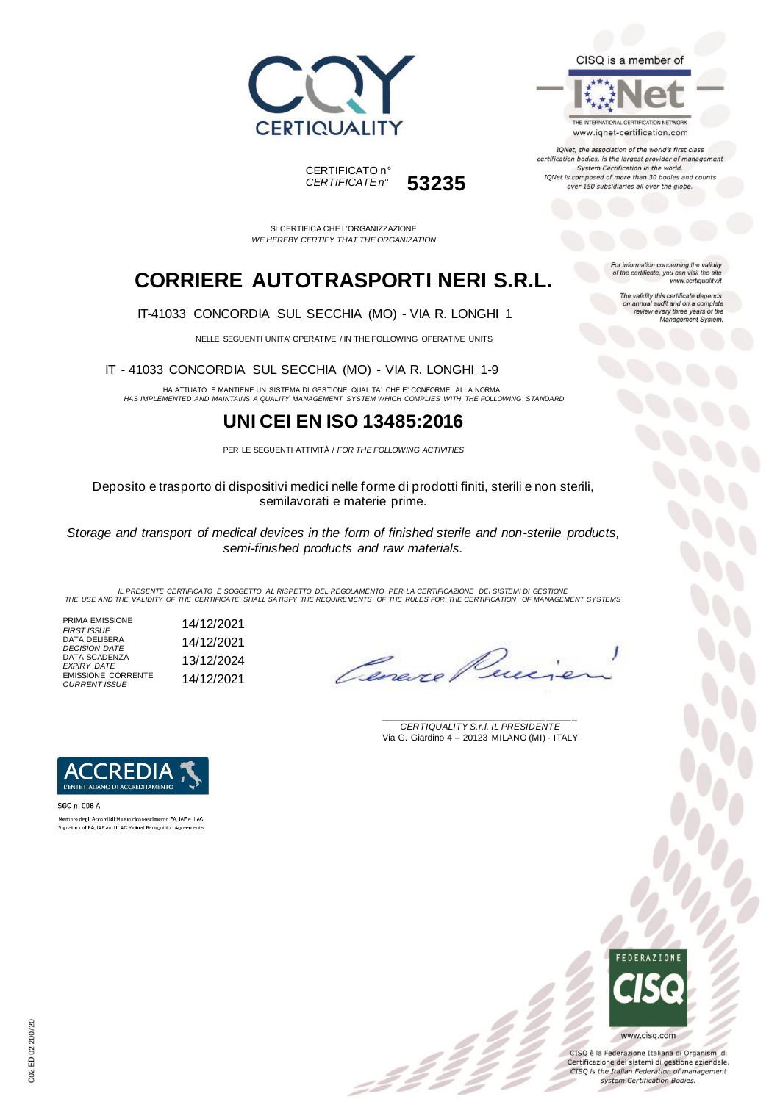





IQNet, the association of the world's first class certification bodies, is the largest provider of managen System Certification in the world. IQNet is composed of more than 30 bodies and counts over 150 subsidiaries all over the globe.

CERTIFICATO n° *CERTIFICATE n°* **53235**

SI CERTIFICA CHE L'ORGANIZZAZIONE *WE HEREBY CERTIFY THAT THE ORGANIZATION*

# **CORRIERE AUTOTRASPORTI NERI S.R.L.**

IT-41033 CONCORDIA SUL SECCHIA (MO) - VIA R. LONGHI 1

NELLE SEGUENTI UNITA' OPERATIVE / IN THE FOLLOWING OPERATIVE UNITS

IT - 41033 CONCORDIA SUL SECCHIA (MO) - VIA R. LONGHI 1-9

HA ATTUATO E MANTIENE UN SISTEMA DI GESTIONE QUALITA' CHE E' CONFORME ALLA NORMA *HAS IMPLEMENTED AND MAINTAINS A QUALITY MANAGEMENT SYSTEM WHICH COMPLIES WITH THE FOLLOWING STANDARD*

## **UNI CEI EN ISO 13485:2016**

PER LE SEGUENTI ATTIVITÀ / *FOR THE FOLLOWING ACTIVITIES*

Deposito e trasporto di dispositivi medici nelle forme di prodotti finiti, sterili e non sterili, semilavorati e materie prime.

*Storage and transport of medical devices in the form of finished sterile and non-sterile products, semi-finished products and raw materials.*

IL PRESENTE CERTIFICATO E SOGGETTO AL RISPETTO DEL REGOLAMENTO PER LA CERTIFICAZIONE DEI SISTEMI DI GESTIONE<br>THE USE AND THE VALIDITY OF THE CERTIFICATE SHALL SATISFY THE REQUIREMENTS OF THE RULES FOR THE CERTIFICATION OF

:22

PRIMA EMISSIONE *FIRST ISSUE* 14/12/2021 DATA DELIBERA *DECISION DATE* 14/12/2021 DATA SCADENZA *EXPIRY DATE* 13/12/2024 EMISSIONE CORRENTE *CURRENT ISSUE* 14/12/2021

Corona

\_\_\_\_\_\_\_\_\_\_\_\_\_\_\_\_\_\_\_\_\_\_\_\_\_\_\_\_\_\_\_\_\_\_\_\_\_\_\_ *CERTIQUALITY S.r.l. IL PRESIDENTE* Via G. Giardino 4 – 20123 MILANO (MI) - ITALY



SGQ n. 008 A Membro degli Accordi di Mutuo riconoscimento EA, IAF e ILAC.<br>Signatory of EA, IAF and ILAC Mutual Recognition Agreements.



CISQ è la Federazione Italiana di Organismi di Certificazione dei sistemi di gestione aziendale. CISQ is the Italian Federation of management system Certification Bodies.

For information concerning the validity<br>of the certificate, you can visit the site www.certiquality.it

The validity this certificate depends on annual audit and on a complete<br>review every three years of the<br>Management System.